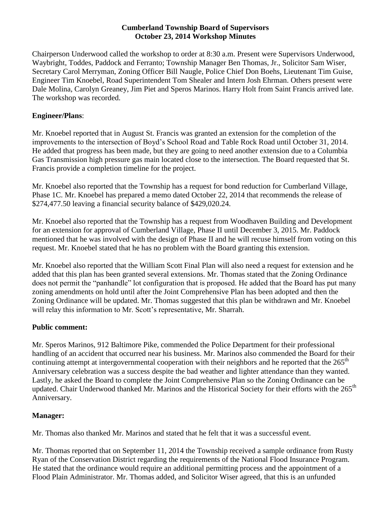#### **Cumberland Township Board of Supervisors October 23, 2014 Workshop Minutes**

Chairperson Underwood called the workshop to order at 8:30 a.m. Present were Supervisors Underwood, Waybright, Toddes, Paddock and Ferranto; Township Manager Ben Thomas, Jr., Solicitor Sam Wiser, Secretary Carol Merryman, Zoning Officer Bill Naugle, Police Chief Don Boehs, Lieutenant Tim Guise, Engineer Tim Knoebel, Road Superintendent Tom Shealer and Intern Josh Ehrman. Others present were Dale Molina, Carolyn Greaney, Jim Piet and Speros Marinos. Harry Holt from Saint Francis arrived late. The workshop was recorded.

### **Engineer/Plans**:

Mr. Knoebel reported that in August St. Francis was granted an extension for the completion of the improvements to the intersection of Boyd's School Road and Table Rock Road until October 31, 2014. He added that progress has been made, but they are going to need another extension due to a Columbia Gas Transmission high pressure gas main located close to the intersection. The Board requested that St. Francis provide a completion timeline for the project.

Mr. Knoebel also reported that the Township has a request for bond reduction for Cumberland Village, Phase 1C. Mr. Knoebel has prepared a memo dated October 22, 2014 that recommends the release of \$274,477.50 leaving a financial security balance of \$429,020.24.

Mr. Knoebel also reported that the Township has a request from Woodhaven Building and Development for an extension for approval of Cumberland Village, Phase II until December 3, 2015. Mr. Paddock mentioned that he was involved with the design of Phase II and he will recuse himself from voting on this request. Mr. Knoebel stated that he has no problem with the Board granting this extension.

Mr. Knoebel also reported that the William Scott Final Plan will also need a request for extension and he added that this plan has been granted several extensions. Mr. Thomas stated that the Zoning Ordinance does not permit the "panhandle" lot configuration that is proposed. He added that the Board has put many zoning amendments on hold until after the Joint Comprehensive Plan has been adopted and then the Zoning Ordinance will be updated. Mr. Thomas suggested that this plan be withdrawn and Mr. Knoebel will relay this information to Mr. Scott's representative, Mr. Sharrah.

# **Public comment:**

Mr. Speros Marinos, 912 Baltimore Pike, commended the Police Department for their professional handling of an accident that occurred near his business. Mr. Marinos also commended the Board for their continuing attempt at intergovernmental cooperation with their neighbors and he reported that the 265<sup>th</sup> Anniversary celebration was a success despite the bad weather and lighter attendance than they wanted. Lastly, he asked the Board to complete the Joint Comprehensive Plan so the Zoning Ordinance can be updated. Chair Underwood thanked Mr. Marinos and the Historical Society for their efforts with the 265<sup>th</sup> Anniversary.

# **Manager:**

Mr. Thomas also thanked Mr. Marinos and stated that he felt that it was a successful event.

Mr. Thomas reported that on September 11, 2014 the Township received a sample ordinance from Rusty Ryan of the Conservation District regarding the requirements of the National Flood Insurance Program. He stated that the ordinance would require an additional permitting process and the appointment of a Flood Plain Administrator. Mr. Thomas added, and Solicitor Wiser agreed, that this is an unfunded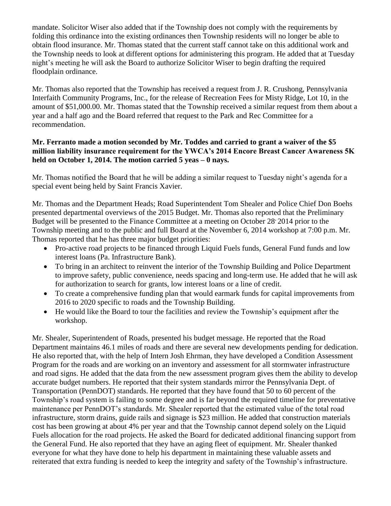mandate. Solicitor Wiser also added that if the Township does not comply with the requirements by folding this ordinance into the existing ordinances then Township residents will no longer be able to obtain flood insurance. Mr. Thomas stated that the current staff cannot take on this additional work and the Township needs to look at different options for administering this program. He added that at Tuesday night's meeting he will ask the Board to authorize Solicitor Wiser to begin drafting the required floodplain ordinance.

Mr. Thomas also reported that the Township has received a request from J. R. Crushong, Pennsylvania Interfaith Community Programs, Inc., for the release of Recreation Fees for Misty Ridge, Lot 10, in the amount of \$51,000.00. Mr. Thomas stated that the Township received a similar request from them about a year and a half ago and the Board referred that request to the Park and Rec Committee for a recommendation.

### **Mr. Ferranto made a motion seconded by Mr. Toddes and carried to grant a waiver of the \$5 million liability insurance requirement for the YWCA's 2014 Encore Breast Cancer Awareness 5K held on October 1, 2014. The motion carried 5 yeas – 0 nays.**

Mr. Thomas notified the Board that he will be adding a similar request to Tuesday night's agenda for a special event being held by Saint Francis Xavier.

Mr. Thomas and the Department Heads; Road Superintendent Tom Shealer and Police Chief Don Boehs presented departmental overviews of the 2015 Budget. Mr. Thomas also reported that the Preliminary Budget will be presented to the Finance Committee at a meeting on October 28' 2014 prior to the Township meeting and to the public and full Board at the November 6, 2014 workshop at 7:00 p.m. Mr. Thomas reported that he has three major budget priorities:

- Pro-active road projects to be financed through Liquid Fuels funds, General Fund funds and low interest loans (Pa. Infrastructure Bank).
- To bring in an architect to reinvent the interior of the Township Building and Police Department to improve safety, public convenience, needs spacing and long-term use. He added that he will ask for authorization to search for grants, low interest loans or a line of credit.
- To create a comprehensive funding plan that would earmark funds for capital improvements from 2016 to 2020 specific to roads and the Township Building.
- He would like the Board to tour the facilities and review the Township's equipment after the workshop.

Mr. Shealer, Superintendent of Roads, presented his budget message. He reported that the Road Department maintains 46.1 miles of roads and there are several new developments pending for dedication. He also reported that, with the help of Intern Josh Ehrman, they have developed a Condition Assessment Program for the roads and are working on an inventory and assessment for all stormwater infrastructure and road signs. He added that the data from the new assessment program gives them the ability to develop accurate budget numbers. He reported that their system standards mirror the Pennsylvania Dept. of Transportation (PennDOT) standards. He reported that they have found that 50 to 60 percent of the Township's road system is failing to some degree and is far beyond the required timeline for preventative maintenance per PennDOT's standards. Mr. Shealer reported that the estimated value of the total road infrastructure, storm drains, guide rails and signage is \$23 million. He added that construction materials cost has been growing at about 4% per year and that the Township cannot depend solely on the Liquid Fuels allocation for the road projects. He asked the Board for dedicated additional financing support from the General Fund. He also reported that they have an aging fleet of equipment. Mr. Shealer thanked everyone for what they have done to help his department in maintaining these valuable assets and reiterated that extra funding is needed to keep the integrity and safety of the Township's infrastructure.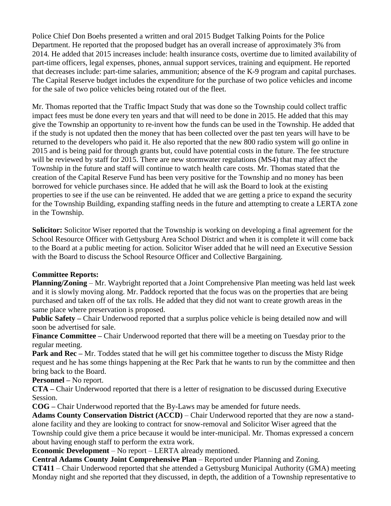Police Chief Don Boehs presented a written and oral 2015 Budget Talking Points for the Police Department. He reported that the proposed budget has an overall increase of approximately 3% from 2014. He added that 2015 increases include: health insurance costs, overtime due to limited availability of part-time officers, legal expenses, phones, annual support services, training and equipment. He reported that decreases include: part-time salaries, ammunition; absence of the K-9 program and capital purchases. The Capital Reserve budget includes the expenditure for the purchase of two police vehicles and income for the sale of two police vehicles being rotated out of the fleet.

Mr. Thomas reported that the Traffic Impact Study that was done so the Township could collect traffic impact fees must be done every ten years and that will need to be done in 2015. He added that this may give the Township an opportunity to re-invent how the funds can be used in the Township. He added that if the study is not updated then the money that has been collected over the past ten years will have to be returned to the developers who paid it. He also reported that the new 800 radio system will go online in 2015 and is being paid for through grants but, could have potential costs in the future. The fee structure will be reviewed by staff for 2015. There are new stormwater regulations (MS4) that may affect the Township in the future and staff will continue to watch health care costs. Mr. Thomas stated that the creation of the Capital Reserve Fund has been very positive for the Township and no money has been borrowed for vehicle purchases since. He added that he will ask the Board to look at the existing properties to see if the use can be reinvented. He added that we are getting a price to expand the security for the Township Building, expanding staffing needs in the future and attempting to create a LERTA zone in the Township.

**Solicitor:** Solicitor Wiser reported that the Township is working on developing a final agreement for the School Resource Officer with Gettysburg Area School District and when it is complete it will come back to the Board at a public meeting for action. Solicitor Wiser added that he will need an Executive Session with the Board to discuss the School Resource Officer and Collective Bargaining.

### **Committee Reports:**

**Planning/Zoning** – Mr. Waybright reported that a Joint Comprehensive Plan meeting was held last week and it is slowly moving along. Mr. Paddock reported that the focus was on the properties that are being purchased and taken off of the tax rolls. He added that they did not want to create growth areas in the same place where preservation is proposed.

**Public Safety –** Chair Underwood reported that a surplus police vehicle is being detailed now and will soon be advertised for sale.

**Finance Committee** – Chair Underwood reported that there will be a meeting on Tuesday prior to the regular meeting.

**Park and Rec** – Mr. Toddes stated that he will get his committee together to discuss the Misty Ridge request and he has some things happening at the Rec Park that he wants to run by the committee and then bring back to the Board.

**Personnel –** No report.

**CTA –** Chair Underwood reported that there is a letter of resignation to be discussed during Executive Session.

**COG –** Chair Underwood reported that the By-Laws may be amended for future needs.

**Adams County Conservation District (ACCD)** – Chair Underwood reported that they are now a standalone facility and they are looking to contract for snow-removal and Solicitor Wiser agreed that the Township could give them a price because it would be inter-municipal. Mr. Thomas expressed a concern about having enough staff to perform the extra work.

**Economic Development** – No report – LERTA already mentioned.

**Central Adams County Joint Comprehensive Plan** – Reported under Planning and Zoning.

**CT411** – Chair Underwood reported that she attended a Gettysburg Municipal Authority (GMA) meeting Monday night and she reported that they discussed, in depth, the addition of a Township representative to